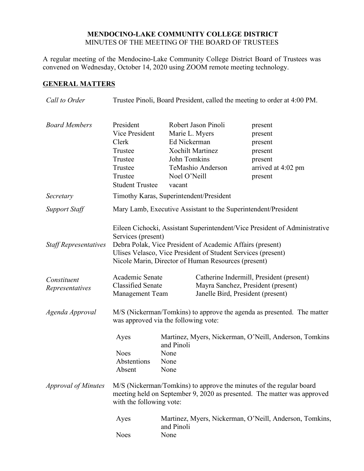#### **MENDOCINO-LAKE COMMUNITY COLLEGE DISTRICT** MINUTES OF THE MEETING OF THE BOARD OF TRUSTEES

A regular meeting of the Mendocino-Lake Community College District Board of Trustees was convened on Wednesday, October 14, 2020 using ZOOM remote meeting technology.

# **GENERAL MATTERS**

| Call to Order                  | Trustee Pinoli, Board President, called the meeting to order at 4:00 PM.                                                                                                                                                                                                             |                                                                          |                                                                     |                                                                                                                                                                                                                                                                     |  |
|--------------------------------|--------------------------------------------------------------------------------------------------------------------------------------------------------------------------------------------------------------------------------------------------------------------------------------|--------------------------------------------------------------------------|---------------------------------------------------------------------|---------------------------------------------------------------------------------------------------------------------------------------------------------------------------------------------------------------------------------------------------------------------|--|
| <b>Board Members</b>           | President<br>Vice President<br>Clerk<br>Trustee<br>Trustee<br>Trustee<br>Trustee<br><b>Student Trustee</b>                                                                                                                                                                           | Marie L. Myers<br>Ed Nickerman<br>John Tomkins<br>Noel O'Neill<br>vacant | Robert Jason Pinoli<br><b>Xochilt Martinez</b><br>TeMashio Anderson | present<br>present<br>present<br>present<br>present<br>arrived at 4:02 pm<br>present                                                                                                                                                                                |  |
| Secretary                      | Timothy Karas, Superintendent/President                                                                                                                                                                                                                                              |                                                                          |                                                                     |                                                                                                                                                                                                                                                                     |  |
| <b>Support Staff</b>           | Mary Lamb, Executive Assistant to the Superintendent/President                                                                                                                                                                                                                       |                                                                          |                                                                     |                                                                                                                                                                                                                                                                     |  |
| <b>Staff Representatives</b>   | Eileen Cichocki, Assistant Superintendent/Vice President of Administrative<br>Services (present)<br>Debra Polak, Vice President of Academic Affairs (present)<br>Ulises Velasco, Vice President of Student Services (present)<br>Nicole Marin, Director of Human Resources (present) |                                                                          |                                                                     |                                                                                                                                                                                                                                                                     |  |
| Constituent<br>Representatives | Academic Senate<br><b>Classified Senate</b><br><b>Management Team</b>                                                                                                                                                                                                                |                                                                          |                                                                     | Catherine Indermill, President (present)<br>Mayra Sanchez, President (present)<br>Janelle Bird, President (present)                                                                                                                                                 |  |
| Agenda Approval                | M/S (Nickerman/Tomkins) to approve the agenda as presented. The matter<br>was approved via the following vote:                                                                                                                                                                       |                                                                          |                                                                     |                                                                                                                                                                                                                                                                     |  |
| <b>Approval of Minutes</b>     | Ayes<br><b>Noes</b><br>Abstentions<br>Absent<br>with the following vote:<br>Ayes<br><b>Noes</b>                                                                                                                                                                                      | and Pinoli<br>None<br>None<br>None<br>and Pinoli<br>None                 |                                                                     | Martinez, Myers, Nickerman, O'Neill, Anderson, Tomkins<br>M/S (Nickerman/Tomkins) to approve the minutes of the regular board<br>meeting held on September 9, 2020 as presented. The matter was approved<br>Martinez, Myers, Nickerman, O'Neill, Anderson, Tomkins, |  |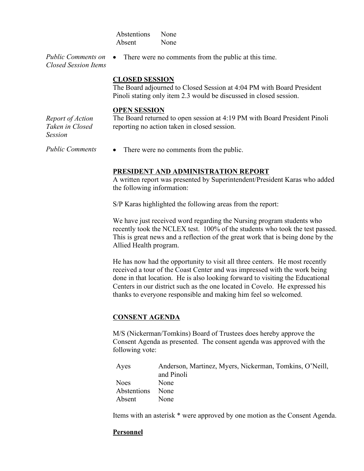| Abstentions | None |
|-------------|------|
| Absent      | None |

*Public Comments on Closed Session Items* • There were no comments from the public at this time.

# **CLOSED SESSION**

The Board adjourned to Closed Session at 4:04 PM with Board President Pinoli stating only item 2.3 would be discussed in closed session.

#### **OPEN SESSION**

*Report of Action Taken in Closed Session*

The Board returned to open session at 4:19 PM with Board President Pinoli reporting no action taken in closed session.

*Public Comments* • There were no comments from the public.

#### **PRESIDENT AND ADMINISTRATION REPORT**

A written report was presented by Superintendent/President Karas who added the following information:

S/P Karas highlighted the following areas from the report:

We have just received word regarding the Nursing program students who recently took the NCLEX test. 100% of the students who took the test passed. This is great news and a reflection of the great work that is being done by the Allied Health program.

He has now had the opportunity to visit all three centers. He most recently received a tour of the Coast Center and was impressed with the work being done in that location. He is also looking forward to visiting the Educational Centers in our district such as the one located in Covelo. He expressed his thanks to everyone responsible and making him feel so welcomed.

## **CONSENT AGENDA**

M/S (Nickerman/Tomkins) Board of Trustees does hereby approve the Consent Agenda as presented. The consent agenda was approved with the following vote:

| Ayes        | Anderson, Martinez, Myers, Nickerman, Tomkins, O'Neill, |
|-------------|---------------------------------------------------------|
|             | and Pinoli                                              |
| Noes        | None                                                    |
| Abstentions | None                                                    |
| Absent      | None                                                    |

Items with an asterisk \* were approved by one motion as the Consent Agenda.

## **Personnel**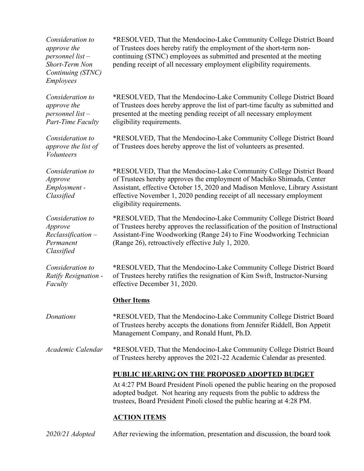| Consideration to<br>approve the<br>personnel list-<br>Short-Term Non<br>Continuing (STNC)<br><i>Employees</i> | *RESOLVED, That the Mendocino-Lake Community College District Board<br>of Trustees does hereby ratify the employment of the short-term non-<br>continuing (STNC) employees as submitted and presented at the meeting<br>pending receipt of all necessary employment eligibility requirements.                                       |  |  |
|---------------------------------------------------------------------------------------------------------------|-------------------------------------------------------------------------------------------------------------------------------------------------------------------------------------------------------------------------------------------------------------------------------------------------------------------------------------|--|--|
| Consideration to<br>approve the<br>personnel list-<br><b>Part-Time Faculty</b>                                | *RESOLVED, That the Mendocino-Lake Community College District Board<br>of Trustees does hereby approve the list of part-time faculty as submitted and<br>presented at the meeting pending receipt of all necessary employment<br>eligibility requirements.                                                                          |  |  |
| Consideration to<br>approve the list of<br><b>Volunteers</b>                                                  | *RESOLVED, That the Mendocino-Lake Community College District Board<br>of Trustees does hereby approve the list of volunteers as presented.                                                                                                                                                                                         |  |  |
| Consideration to<br>Approve<br>Employment -<br>Classified                                                     | *RESOLVED, That the Mendocino-Lake Community College District Board<br>of Trustees hereby approves the employment of Machiko Shimada, Center<br>Assistant, effective October 15, 2020 and Madison Menlove, Library Assistant<br>effective November 1, 2020 pending receipt of all necessary employment<br>eligibility requirements. |  |  |
| Consideration to<br>Approve<br>$Reclassification -$<br>Permanent<br>Classified                                | *RESOLVED, That the Mendocino-Lake Community College District Board<br>of Trustees hereby approves the reclassification of the position of Instructional<br>Assistant-Fine Woodworking (Range 24) to Fine Woodworking Technician<br>(Range 26), retroactively effective July 1, 2020.                                               |  |  |
| Consideration to<br>Ratify Resignation -<br>Faculty                                                           | *RESOLVED, That the Mendocino-Lake Community College District Board<br>of Trustees hereby ratifies the resignation of Kim Swift, Instructor-Nursing<br>effective December 31, 2020.                                                                                                                                                 |  |  |
|                                                                                                               | <b>Other Items</b>                                                                                                                                                                                                                                                                                                                  |  |  |
| Donations                                                                                                     | *RESOLVED, That the Mendocino-Lake Community College District Board<br>of Trustees hereby accepts the donations from Jennifer Riddell, Bon Appetit<br>Management Company, and Ronald Hunt, Ph.D.                                                                                                                                    |  |  |
| Academic Calendar                                                                                             | *RESOLVED, That the Mendocino-Lake Community College District Board<br>of Trustees hereby approves the 2021-22 Academic Calendar as presented.                                                                                                                                                                                      |  |  |
|                                                                                                               | PUBLIC HEARING ON THE PROPOSED ADOPTED BUDGET<br>At 4:27 PM Board President Pinoli opened the public hearing on the proposed<br>adopted budget. Not hearing any requests from the public to address the<br>trustees, Board President Pinoli closed the public hearing at 4:28 PM.                                                   |  |  |
|                                                                                                               | <b>ACTION ITEMS</b>                                                                                                                                                                                                                                                                                                                 |  |  |

*2020/21 Adopted* After reviewing the information, presentation and discussion, the board took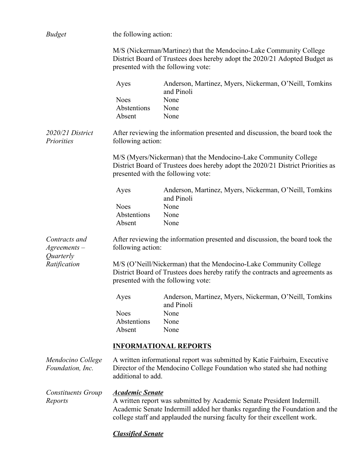| <b>Budget</b>                                   | the following action:                                                                                                                                                                    |                                                                              |  |  |
|-------------------------------------------------|------------------------------------------------------------------------------------------------------------------------------------------------------------------------------------------|------------------------------------------------------------------------------|--|--|
|                                                 | M/S (Nickerman/Martinez) that the Mendocino-Lake Community College<br>District Board of Trustees does hereby adopt the 2020/21 Adopted Budget as<br>presented with the following vote:   |                                                                              |  |  |
|                                                 | Ayes                                                                                                                                                                                     | Anderson, Martinez, Myers, Nickerman, O'Neill, Tomkins<br>and Pinoli         |  |  |
|                                                 | <b>Noes</b>                                                                                                                                                                              | None                                                                         |  |  |
|                                                 | Abstentions                                                                                                                                                                              | None                                                                         |  |  |
|                                                 | Absent                                                                                                                                                                                   | None                                                                         |  |  |
| 2020/21 District<br>Priorities                  | following action:                                                                                                                                                                        | After reviewing the information presented and discussion, the board took the |  |  |
|                                                 | M/S (Myers/Nickerman) that the Mendocino-Lake Community College<br>District Board of Trustees does hereby adopt the 2020/21 District Priorities as<br>presented with the following vote: |                                                                              |  |  |
|                                                 | Ayes                                                                                                                                                                                     | Anderson, Martinez, Myers, Nickerman, O'Neill, Tomkins<br>and Pinoli         |  |  |
|                                                 | <b>Noes</b>                                                                                                                                                                              | None                                                                         |  |  |
|                                                 | Abstentions                                                                                                                                                                              | None                                                                         |  |  |
|                                                 | Absent                                                                                                                                                                                   | None                                                                         |  |  |
| Contracts and<br>$A$ greements $-$<br>Quarterly | After reviewing the information presented and discussion, the board took the<br>following action:                                                                                        |                                                                              |  |  |
| Ratification                                    | M/S (O'Neill/Nickerman) that the Mendocino-Lake Community College<br>District Board of Trustees does hereby ratify the contracts and agreements as<br>presented with the following vote: |                                                                              |  |  |
|                                                 | Ayes                                                                                                                                                                                     | Anderson, Martinez, Myers, Nickerman, O'Neill, Tomkins<br>and Pinoli         |  |  |
|                                                 | <b>Noes</b>                                                                                                                                                                              | None                                                                         |  |  |
|                                                 | Abstentions                                                                                                                                                                              | None                                                                         |  |  |
|                                                 | Absent                                                                                                                                                                                   | None                                                                         |  |  |
|                                                 |                                                                                                                                                                                          | <b>INFORMATIONAL REPORTS</b>                                                 |  |  |
| Mendocino College<br>Foundation, Inc.           | A written informational report was submitted by Katie Fairbairn, Executive<br>Director of the Mendocino College Foundation who stated she had nothing<br>additional to add.              |                                                                              |  |  |
| <b>Constituents Group</b>                       | <b>Academic Senate</b>                                                                                                                                                                   |                                                                              |  |  |
| Reports                                         | A written report was submitted by Academic Senate President Indermill.                                                                                                                   |                                                                              |  |  |
|                                                 | Academic Senate Indermill added her thanks regarding the Foundation and the<br>college staff and applauded the nursing faculty for their excellent work.                                 |                                                                              |  |  |
|                                                 | <u><b>Classified Senate</b></u>                                                                                                                                                          |                                                                              |  |  |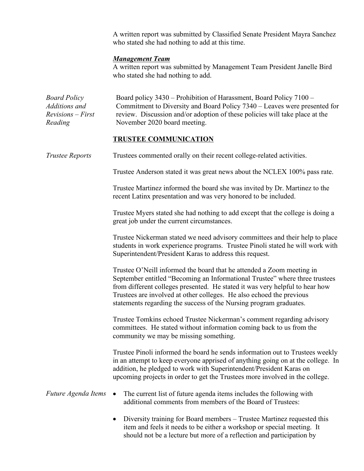A written report was submitted by Classified Senate President Mayra Sanchez who stated she had nothing to add at this time.

### *Management Team*

A written report was submitted by Management Team President Janelle Bird who stated she had nothing to add.

| <b>Board Policy</b><br>Additions and<br>$Revisions - First$<br>Reading | Board policy 3430 – Prohibition of Harassment, Board Policy 7100 –<br>Commitment to Diversity and Board Policy 7340 – Leaves were presented for<br>review. Discussion and/or adoption of these policies will take place at the<br>November 2020 board meeting.                                                                                                                     |  |  |  |
|------------------------------------------------------------------------|------------------------------------------------------------------------------------------------------------------------------------------------------------------------------------------------------------------------------------------------------------------------------------------------------------------------------------------------------------------------------------|--|--|--|
|                                                                        | <b>TRUSTEE COMMUNICATION</b>                                                                                                                                                                                                                                                                                                                                                       |  |  |  |
| <b>Trustee Reports</b>                                                 | Trustees commented orally on their recent college-related activities.                                                                                                                                                                                                                                                                                                              |  |  |  |
|                                                                        | Trustee Anderson stated it was great news about the NCLEX 100% pass rate.                                                                                                                                                                                                                                                                                                          |  |  |  |
|                                                                        | Trustee Martinez informed the board she was invited by Dr. Martinez to the<br>recent Latinx presentation and was very honored to be included.                                                                                                                                                                                                                                      |  |  |  |
|                                                                        | Trustee Myers stated she had nothing to add except that the college is doing a<br>great job under the current circumstances.                                                                                                                                                                                                                                                       |  |  |  |
|                                                                        | Trustee Nickerman stated we need advisory committees and their help to place<br>students in work experience programs. Trustee Pinoli stated he will work with<br>Superintendent/President Karas to address this request.                                                                                                                                                           |  |  |  |
|                                                                        | Trustee O'Neill informed the board that he attended a Zoom meeting in<br>September entitled "Becoming an Informational Trustee" where three trustees<br>from different colleges presented. He stated it was very helpful to hear how<br>Trustees are involved at other colleges. He also echoed the previous<br>statements regarding the success of the Nursing program graduates. |  |  |  |
|                                                                        | Trustee Tomkins echoed Trustee Nickerman's comment regarding advisory<br>committees. He stated without information coming back to us from the<br>community we may be missing something.                                                                                                                                                                                            |  |  |  |
|                                                                        | Trustee Pinoli informed the board he sends information out to Trustees weekly<br>in an attempt to keep everyone apprised of anything going on at the college. In<br>addition, he pledged to work with Superintendent/President Karas on<br>upcoming projects in order to get the Trustees more involved in the college.                                                            |  |  |  |
| Future Agenda Items                                                    | The current list of future agenda items includes the following with<br>$\bullet$<br>additional comments from members of the Board of Trustees:                                                                                                                                                                                                                                     |  |  |  |
|                                                                        | Diversity training for Board members – Trustee Martinez requested this<br>item and feels it needs to be either a workshop or special meeting. It                                                                                                                                                                                                                                   |  |  |  |

should not be a lecture but more of a reflection and participation by